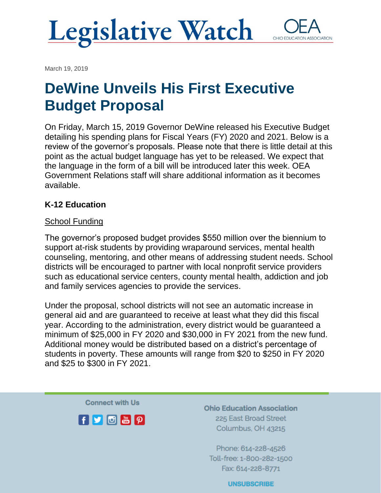

March 19, 2019

## **DeWine Unveils His First Executive Budget Proposal**

On Friday, March 15, 2019 Governor DeWine released his Executive Budget detailing his spending plans for Fiscal Years (FY) 2020 and 2021. Below is a review of the governor's proposals. Please note that there is little detail at this point as the actual budget language has yet to be released. We expect that the language in the form of a bill will be introduced later this week. OEA Government Relations staff will share additional information as it becomes available.

#### **K-12 Education**

#### **School Funding**

The governor's proposed budget provides \$550 million over the biennium to support at-risk students by providing wraparound services, mental health counseling, mentoring, and other means of addressing student needs. School districts will be encouraged to partner with local nonprofit service providers such as educational service centers, county mental health, addiction and job and family services agencies to provide the services.

Under the proposal, school districts will not see an automatic increase in general aid and are guaranteed to receive at least what they did this fiscal year. According to the administration, every district would be guaranteed a minimum of \$25,000 in FY 2020 and \$30,000 in FY 2021 from the new fund. Additional money would be distributed based on a district's percentage of students in poverty. These amounts will range from \$20 to \$250 in FY 2020 and \$25 to \$300 in FY 2021.

**Connect with Us** 



**Ohio Education Association** 225 East Broad Street Columbus, OH 43215

Phone: 614-228-4526 Toll-free: 1-800-282-1500 Fax: 614-228-8771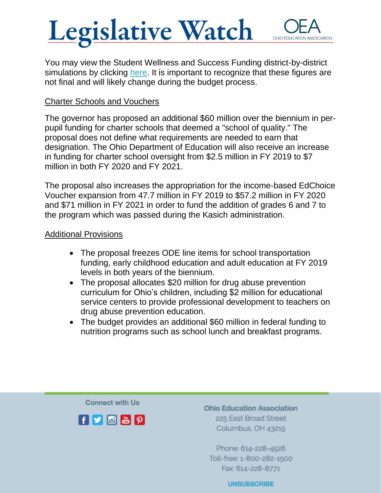# **Legislative Watch**

You may view the Student Wellness and Success Funding district-by-district simulations by clicking [here.](https://www.ohea.org/student-wellness-success/) It is important to recognize that these figures are not final and will likely change during the budget process.

#### Charter Schools and Vouchers

The governor has proposed an additional \$60 million over the biennium in perpupil funding for charter schools that deemed a "school of quality." The proposal does not define what requirements are needed to earn that designation. The Ohio Department of Education will also receive an increase in funding for charter school oversight from \$2.5 million in FY 2019 to \$7 million in both FY 2020 and FY 2021.

The proposal also increases the appropriation for the income-based EdChoice Voucher expansion from 47.7 million in FY 2019 to \$57.2 million in FY 2020 and \$71 million in FY 2021 in order to fund the addition of grades 6 and 7 to the program which was passed during the Kasich administration.

#### Additional Provisions

- The proposal freezes ODE line items for school transportation funding, early childhood education and adult education at FY 2019 levels in both years of the biennium.
- The proposal allocates \$20 million for drug abuse prevention curriculum for Ohio's children, including \$2 million for educational service centers to provide professional development to teachers on drug abuse prevention education.
- The budget provides an additional \$60 million in federal funding to nutrition programs such as school lunch and breakfast programs.

**Connect with Us** 



**Ohio Education Association** 225 East Broad Street Columbus, OH 43215

Phone: 614-228-4526 Toll-free: 1-800-282-1500 Fax: 614-228-8771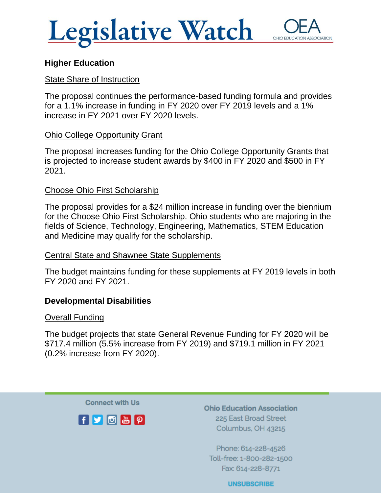



#### **Higher Education**

#### State Share of Instruction

The proposal continues the performance-based funding formula and provides for a 1.1% increase in funding in FY 2020 over FY 2019 levels and a 1% increase in FY 2021 over FY 2020 levels.

#### Ohio College Opportunity Grant

The proposal increases funding for the Ohio College Opportunity Grants that is projected to increase student awards by \$400 in FY 2020 and \$500 in FY 2021.

#### Choose Ohio First Scholarship

The proposal provides for a \$24 million increase in funding over the biennium for the Choose Ohio First Scholarship. Ohio students who are majoring in the fields of Science, Technology, Engineering, Mathematics, STEM Education and Medicine may qualify for the scholarship.

#### Central State and Shawnee State Supplements

The budget maintains funding for these supplements at FY 2019 levels in both FY 2020 and FY 2021.

#### **Developmental Disabilities**

#### Overall Funding

The budget projects that state General Revenue Funding for FY 2020 will be \$717.4 million (5.5% increase from FY 2019) and \$719.1 million in FY 2021 (0.2% increase from FY 2020).

**Connect with Us** 



**Ohio Education Association** 225 East Broad Street Columbus, OH 43215

Phone: 614-228-4526 Toll-free: 1-800-282-1500 Fax: 614-228-8771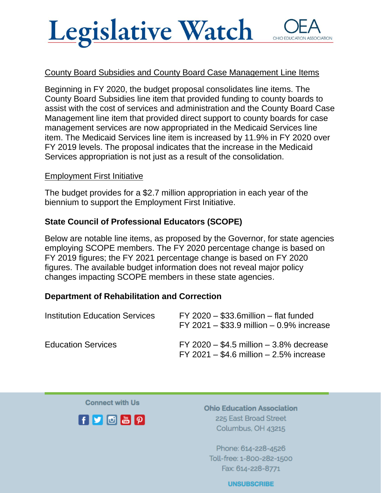## **Legislative Watch** OHIO EDUCATI

#### County Board Subsidies and County Board Case Management Line Items

Beginning in FY 2020, the budget proposal consolidates line items. The County Board Subsidies line item that provided funding to county boards to assist with the cost of services and administration and the County Board Case Management line item that provided direct support to county boards for case management services are now appropriated in the Medicaid Services line item. The Medicaid Services line item is increased by 11.9% in FY 2020 over FY 2019 levels. The proposal indicates that the increase in the Medicaid Services appropriation is not just as a result of the consolidation.

#### Employment First Initiative

The budget provides for a \$2.7 million appropriation in each year of the biennium to support the Employment First Initiative.

#### **State Council of Professional Educators (SCOPE)**

Below are notable line items, as proposed by the Governor, for state agencies employing SCOPE members. The FY 2020 percentage change is based on FY 2019 figures; the FY 2021 percentage change is based on FY 2020 figures. The available budget information does not reveal major policy changes impacting SCOPE members in these state agencies.

#### **Department of Rehabilitation and Correction**

| <b>Institution Education Services</b> | $FY$ 2020 $-$ \$33.6 million $-$ flat funded<br>FY 2021 - \$33.9 million $-0.9\%$ increase   |
|---------------------------------------|----------------------------------------------------------------------------------------------|
| <b>Education Services</b>             | $FY$ 2020 $-$ \$4.5 million $-$ 3.8% decrease<br>FY 2021 $-$ \$4.6 million $-$ 2.5% increase |

**Connect with Us** 



**Ohio Education Association** 225 East Broad Street Columbus, OH 43215

Phone: 614-228-4526 Toll-free: 1-800-282-1500 Fax: 614-228-8771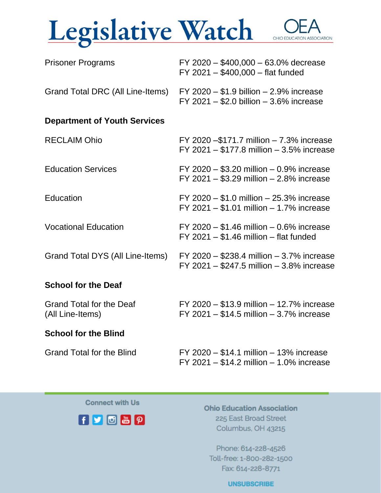## Legislative Watch OHIO EDUCATION ASSOCIATION

| <b>Prisoner Programs</b>                            | FY 2020 - \$400,000 - 63.0% decrease<br>FY 2021 - \$400,000 - flat funded                    |
|-----------------------------------------------------|----------------------------------------------------------------------------------------------|
| Grand Total DRC (All Line-Items)                    | $FY$ 2020 $- $1.9$ billion $- 2.9\%$ increase<br>FY 2021 $-$ \$2.0 billion $-$ 3.6% increase |
| <b>Department of Youth Services</b>                 |                                                                                              |
| <b>RECLAIM Ohio</b>                                 | FY 2020 $-$ \$171.7 million $-$ 7.3% increase<br>FY 2021 - \$177.8 million - 3.5% increase   |
| <b>Education Services</b>                           | FY 2020 $-$ \$3.20 million $-$ 0.9% increase<br>FY 2021 - \$3.29 million $- 2.8\%$ increase  |
| Education                                           | FY 2020 - \$1.0 million - 25.3% increase<br>FY 2021 - \$1.01 million - 1.7% increase         |
| <b>Vocational Education</b>                         | FY 2020 $-$ \$1.46 million $-$ 0.6% increase<br>$FY$ 2021 $-$ \$1.46 million $-$ flat funded |
| Grand Total DYS (All Line-Items)                    | FY 2020 - \$238.4 million $-3.7\%$ increase<br>FY 2021 $-$ \$247.5 million $-$ 3.8% increase |
| <b>School for the Deaf</b>                          |                                                                                              |
| <b>Grand Total for the Deaf</b><br>(All Line-Items) | FY 2020 - \$13.9 million - 12.7% increase<br>FY 2021 $-$ \$14.5 million $-$ 3.7% increase    |
| Oshaal facilia Dibal                                |                                                                                              |

#### **School for the Blind**

Grand Total for the Blind FY 2020 – \$14.1 million – 13% increase FY 2021 – \$14.2 million – 1.0% increase

**Connect with Us** 



**Ohio Education Association** 225 East Broad Street Columbus, OH 43215

Phone: 614-228-4526 Toll-free: 1-800-282-1500 Fax: 614-228-8771